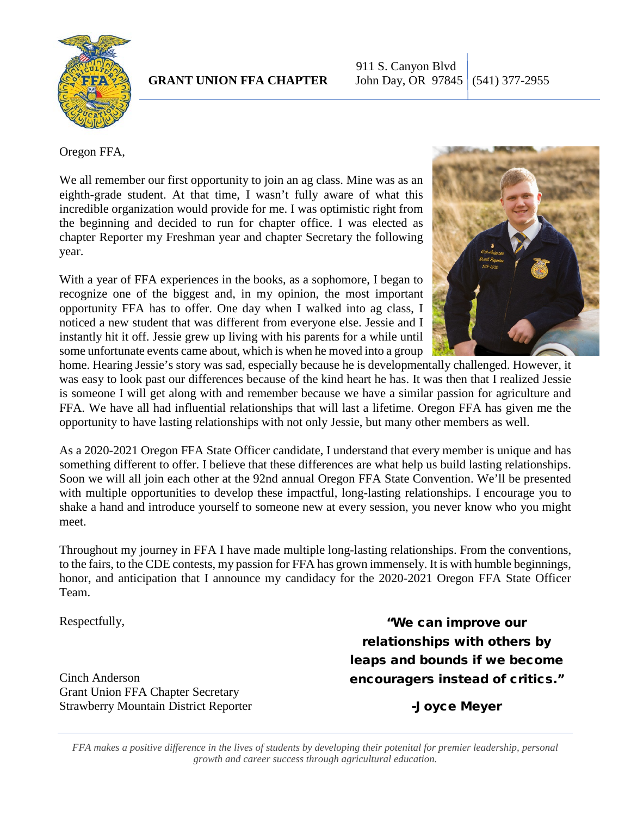

911 S. Canyon Blvd **GRANT UNION FFA CHAPTER** John Day, OR 97845 (541) 377-2955

Oregon FFA,

We all remember our first opportunity to join an ag class. Mine was as an eighth-grade student. At that time, I wasn't fully aware of what this incredible organization would provide for me. I was optimistic right from the beginning and decided to run for chapter office. I was elected as chapter Reporter my Freshman year and chapter Secretary the following year.

With a year of FFA experiences in the books, as a sophomore, I began to recognize one of the biggest and, in my opinion, the most important opportunity FFA has to offer. One day when I walked into ag class, I noticed a new student that was different from everyone else. Jessie and I instantly hit it off. Jessie grew up living with his parents for a while until some unfortunate events came about, which is when he moved into a group



home. Hearing Jessie's story was sad, especially because he is developmentally challenged. However, it was easy to look past our differences because of the kind heart he has. It was then that I realized Jessie is someone I will get along with and remember because we have a similar passion for agriculture and FFA. We have all had influential relationships that will last a lifetime. Oregon FFA has given me the opportunity to have lasting relationships with not only Jessie, but many other members as well.

As a 2020-2021 Oregon FFA State Officer candidate, I understand that every member is unique and has something different to offer. I believe that these differences are what help us build lasting relationships. Soon we will all join each other at the 92nd annual Oregon FFA State Convention. We'll be presented with multiple opportunities to develop these impactful, long-lasting relationships. I encourage you to shake a hand and introduce yourself to someone new at every session, you never know who you might meet.

Throughout my journey in FFA I have made multiple long-lasting relationships. From the conventions, to the fairs, to the CDE contests, my passion for FFA has grown immensely. It is with humble beginnings, honor, and anticipation that I announce my candidacy for the 2020-2021 Oregon FFA State Officer Team.

Respectfully,

Cinch Anderson Grant Union FFA Chapter Secretary Strawberry Mountain District Reporter

"We can improve our relationships with others by leaps and bounds if we become encouragers instead of critics."

-Joyce Meyer

*FFA makes a positive difference in the lives of students by developing their potenital for premier leadership, personal growth and career success through agricultural education.*